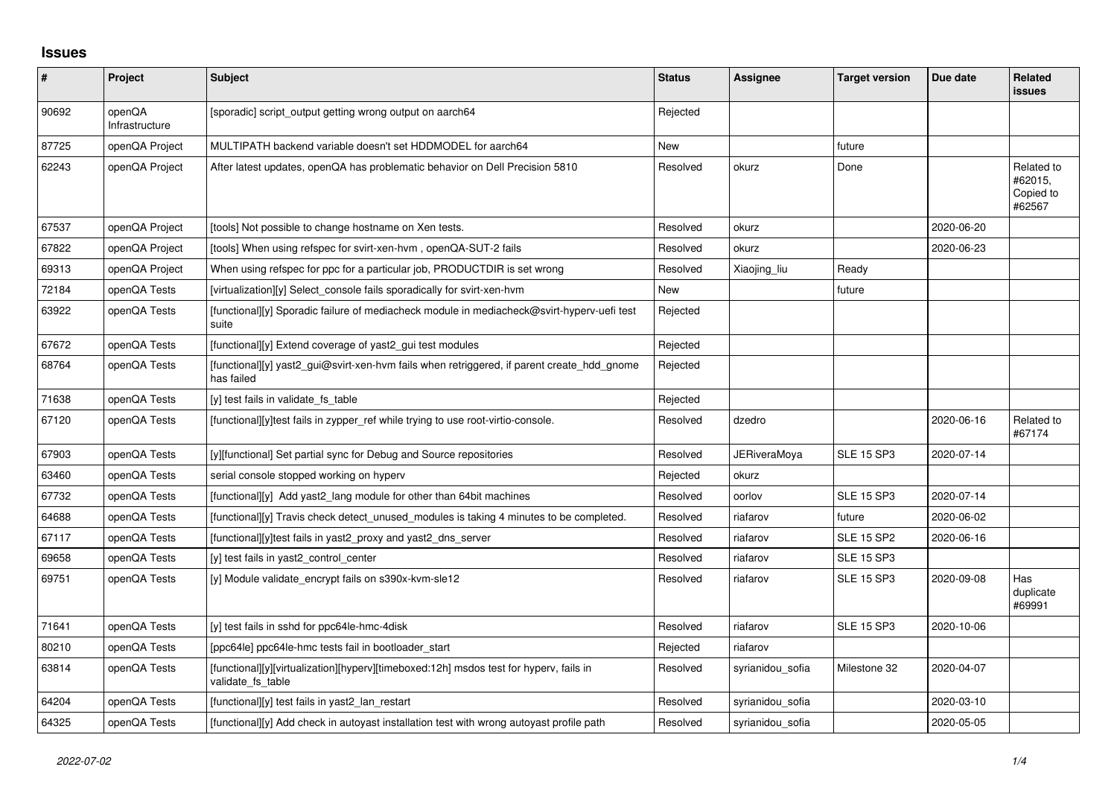## **Issues**

| $\sharp$ | Project                  | <b>Subject</b>                                                                                              | <b>Status</b> | <b>Assignee</b>  | <b>Target version</b> | Due date   | <b>Related</b><br><b>issues</b>              |
|----------|--------------------------|-------------------------------------------------------------------------------------------------------------|---------------|------------------|-----------------------|------------|----------------------------------------------|
| 90692    | openQA<br>Infrastructure | [sporadic] script_output getting wrong output on aarch64                                                    | Rejected      |                  |                       |            |                                              |
| 87725    | openQA Project           | MULTIPATH backend variable doesn't set HDDMODEL for aarch64                                                 | <b>New</b>    |                  | future                |            |                                              |
| 62243    | openQA Project           | After latest updates, openQA has problematic behavior on Dell Precision 5810                                | Resolved      | okurz            | Done                  |            | Related to<br>#62015,<br>Copied to<br>#62567 |
| 67537    | openQA Project           | [tools] Not possible to change hostname on Xen tests.                                                       | Resolved      | okurz            |                       | 2020-06-20 |                                              |
| 67822    | openQA Project           | [tools] When using refspec for svirt-xen-hvm, openQA-SUT-2 fails                                            | Resolved      | okurz            |                       | 2020-06-23 |                                              |
| 69313    | openQA Project           | When using refspec for ppc for a particular job, PRODUCTDIR is set wrong                                    | Resolved      | Xiaojing_liu     | Ready                 |            |                                              |
| 72184    | openQA Tests             | [virtualization][y] Select_console fails sporadically for svirt-xen-hvm                                     | New           |                  | future                |            |                                              |
| 63922    | openQA Tests             | [functional][y] Sporadic failure of mediacheck module in mediacheck@svirt-hyperv-uefi test<br>suite         | Rejected      |                  |                       |            |                                              |
| 67672    | openQA Tests             | [functional][y] Extend coverage of yast2_gui test modules                                                   | Rejected      |                  |                       |            |                                              |
| 68764    | openQA Tests             | [functional][y] yast2 gui@svirt-xen-hvm fails when retriggered, if parent create hdd gnome<br>has failed    | Rejected      |                  |                       |            |                                              |
| 71638    | openQA Tests             | [y] test fails in validate fs table                                                                         | Rejected      |                  |                       |            |                                              |
| 67120    | openQA Tests             | [functional][y]test fails in zypper ref while trying to use root-virtio-console.                            | Resolved      | dzedro           |                       | 2020-06-16 | Related to<br>#67174                         |
| 67903    | openQA Tests             | [y][functional] Set partial sync for Debug and Source repositories                                          | Resolved      | JERiveraMoya     | <b>SLE 15 SP3</b>     | 2020-07-14 |                                              |
| 63460    | openQA Tests             | serial console stopped working on hyperv                                                                    | Rejected      | okurz            |                       |            |                                              |
| 67732    | openQA Tests             | [functional][y] Add yast2_lang module for other than 64bit machines                                         | Resolved      | oorlov           | <b>SLE 15 SP3</b>     | 2020-07-14 |                                              |
| 64688    | openQA Tests             | [functional][y] Travis check detect unused modules is taking 4 minutes to be completed.                     | Resolved      | riafarov         | future                | 2020-06-02 |                                              |
| 67117    | openQA Tests             | [functional][y]test fails in yast2_proxy and yast2_dns_server                                               | Resolved      | riafarov         | <b>SLE 15 SP2</b>     | 2020-06-16 |                                              |
| 69658    | openQA Tests             | [y] test fails in yast2 control center                                                                      | Resolved      | riafarov         | <b>SLE 15 SP3</b>     |            |                                              |
| 69751    | openQA Tests             | [y] Module validate encrypt fails on s390x-kvm-sle12                                                        | Resolved      | riafarov         | <b>SLE 15 SP3</b>     | 2020-09-08 | Has<br>duplicate<br>#69991                   |
| 71641    | openQA Tests             | [y] test fails in sshd for ppc64le-hmc-4disk                                                                | Resolved      | riafarov         | <b>SLE 15 SP3</b>     | 2020-10-06 |                                              |
| 80210    | openQA Tests             | [ppc64le] ppc64le-hmc tests fail in bootloader start                                                        | Rejected      | riafarov         |                       |            |                                              |
| 63814    | openQA Tests             | [functional][y][virtualization][hyperv][timeboxed:12h] msdos test for hyperv, fails in<br>validate_fs_table | Resolved      | syrianidou sofia | Milestone 32          | 2020-04-07 |                                              |
| 64204    | openQA Tests             | [functional][y] test fails in yast2 lan restart                                                             | Resolved      | syrianidou sofia |                       | 2020-03-10 |                                              |
| 64325    | openQA Tests             | [functional][y] Add check in autoyast installation test with wrong autoyast profile path                    | Resolved      | syrianidou sofia |                       | 2020-05-05 |                                              |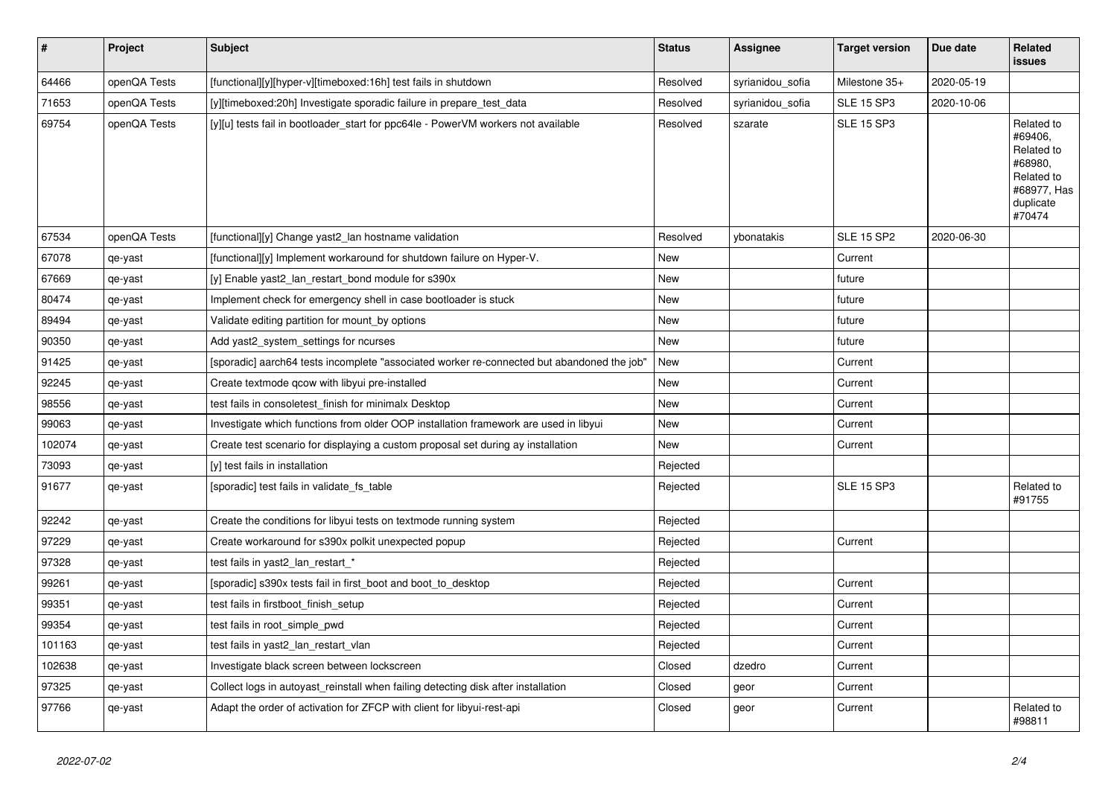| $\vert$ # | Project      | <b>Subject</b>                                                                             | <b>Status</b> | <b>Assignee</b>  | <b>Target version</b> | Due date   | <b>Related</b><br><b>issues</b>                                                                    |
|-----------|--------------|--------------------------------------------------------------------------------------------|---------------|------------------|-----------------------|------------|----------------------------------------------------------------------------------------------------|
| 64466     | openQA Tests | [functional][y][hyper-v][timeboxed:16h] test fails in shutdown                             | Resolved      | syrianidou_sofia | Milestone 35+         | 2020-05-19 |                                                                                                    |
| 71653     | openQA Tests | [y][timeboxed:20h] Investigate sporadic failure in prepare_test_data                       | Resolved      | syrianidou_sofia | <b>SLE 15 SP3</b>     | 2020-10-06 |                                                                                                    |
| 69754     | openQA Tests | [y][u] tests fail in bootloader_start for ppc64le - PowerVM workers not available          | Resolved      | szarate          | <b>SLE 15 SP3</b>     |            | Related to<br>#69406,<br>Related to<br>#68980,<br>Related to<br>#68977, Has<br>duplicate<br>#70474 |
| 67534     | openQA Tests | [functional][y] Change yast2_lan hostname validation                                       | Resolved      | ybonatakis       | <b>SLE 15 SP2</b>     | 2020-06-30 |                                                                                                    |
| 67078     | qe-yast      | [functional][y] Implement workaround for shutdown failure on Hyper-V.                      | New           |                  | Current               |            |                                                                                                    |
| 67669     | qe-yast      | [y] Enable yast2 lan restart bond module for s390x                                         | New           |                  | future                |            |                                                                                                    |
| 80474     | qe-yast      | Implement check for emergency shell in case bootloader is stuck                            | <b>New</b>    |                  | future                |            |                                                                                                    |
| 89494     | qe-yast      | Validate editing partition for mount_by options                                            | <b>New</b>    |                  | future                |            |                                                                                                    |
| 90350     | qe-yast      | Add yast2_system_settings for ncurses                                                      | New           |                  | future                |            |                                                                                                    |
| 91425     | qe-yast      | [sporadic] aarch64 tests incomplete "associated worker re-connected but abandoned the job" | New           |                  | Current               |            |                                                                                                    |
| 92245     | qe-yast      | Create textmode qcow with libyui pre-installed                                             | <b>New</b>    |                  | Current               |            |                                                                                                    |
| 98556     | qe-yast      | test fails in consoletest finish for minimalx Desktop                                      | <b>New</b>    |                  | Current               |            |                                                                                                    |
| 99063     | qe-yast      | Investigate which functions from older OOP installation framework are used in libyui       | New           |                  | Current               |            |                                                                                                    |
| 102074    | qe-yast      | Create test scenario for displaying a custom proposal set during ay installation           | New           |                  | Current               |            |                                                                                                    |
| 73093     | qe-yast      | [y] test fails in installation                                                             | Rejected      |                  |                       |            |                                                                                                    |
| 91677     | qe-yast      | [sporadic] test fails in validate_fs_table                                                 | Rejected      |                  | <b>SLE 15 SP3</b>     |            | Related to<br>#91755                                                                               |
| 92242     | qe-yast      | Create the conditions for libyui tests on textmode running system                          | Rejected      |                  |                       |            |                                                                                                    |
| 97229     | qe-yast      | Create workaround for s390x polkit unexpected popup                                        | Rejected      |                  | Current               |            |                                                                                                    |
| 97328     | qe-yast      | test fails in yast2_lan_restart_*                                                          | Rejected      |                  |                       |            |                                                                                                    |
| 99261     | qe-yast      | [sporadic] s390x tests fail in first boot and boot to desktop                              | Rejected      |                  | Current               |            |                                                                                                    |
| 99351     | qe-yast      | test fails in firstboot_finish_setup                                                       | Rejected      |                  | Current               |            |                                                                                                    |
| 99354     | qe-yast      | test fails in root_simple_pwd                                                              | Rejected      |                  | Current               |            |                                                                                                    |
| 101163    | qe-yast      | test fails in yast2_lan_restart_vlan                                                       | Rejected      |                  | Current               |            |                                                                                                    |
| 102638    | qe-yast      | Investigate black screen between lockscreen                                                | Closed        | dzedro           | Current               |            |                                                                                                    |
| 97325     | qe-yast      | Collect logs in autoyast reinstall when failing detecting disk after installation          | Closed        | geor             | Current               |            |                                                                                                    |
| 97766     | qe-yast      | Adapt the order of activation for ZFCP with client for libyui-rest-api                     | Closed        | geor             | Current               |            | Related to<br>#98811                                                                               |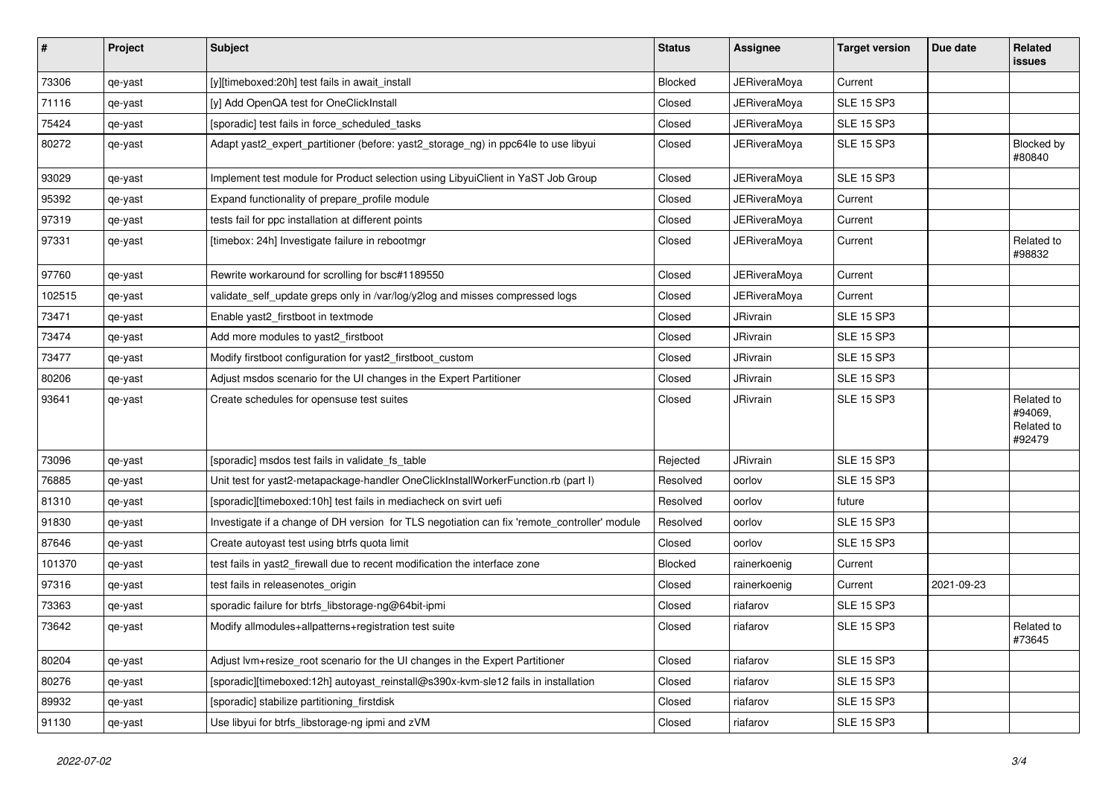| #      | Project | <b>Subject</b>                                                                               | <b>Status</b> | Assignee            | <b>Target version</b> | Due date   | Related<br>issues                             |
|--------|---------|----------------------------------------------------------------------------------------------|---------------|---------------------|-----------------------|------------|-----------------------------------------------|
| 73306  | qe-yast | [y][timeboxed:20h] test fails in await_install                                               | Blocked       | <b>JERiveraMoya</b> | Current               |            |                                               |
| 71116  | qe-yast | [y] Add OpenQA test for OneClickInstall                                                      | Closed        | JERiveraMoya        | <b>SLE 15 SP3</b>     |            |                                               |
| 75424  | qe-yast | [sporadic] test fails in force_scheduled_tasks                                               | Closed        | JERiveraMoya        | <b>SLE 15 SP3</b>     |            |                                               |
| 80272  | qe-yast | Adapt yast2_expert_partitioner (before: yast2_storage_ng) in ppc64le to use libyui           | Closed        | <b>JERiveraMoya</b> | <b>SLE 15 SP3</b>     |            | Blocked by<br>#80840                          |
| 93029  | qe-yast | Implement test module for Product selection using LibyuiClient in YaST Job Group             | Closed        | JERiveraMoya        | <b>SLE 15 SP3</b>     |            |                                               |
| 95392  | qe-yast | Expand functionality of prepare profile module                                               | Closed        | <b>JERiveraMoya</b> | Current               |            |                                               |
| 97319  | qe-yast | tests fail for ppc installation at different points                                          | Closed        | JERiveraMoya        | Current               |            |                                               |
| 97331  | qe-yast | [timebox: 24h] Investigate failure in rebootmgr                                              | Closed        | <b>JERiveraMoya</b> | Current               |            | Related to<br>#98832                          |
| 97760  | qe-yast | Rewrite workaround for scrolling for bsc#1189550                                             | Closed        | JERiveraMoya        | Current               |            |                                               |
| 102515 | qe-yast | validate_self_update greps only in /var/log/y2log and misses compressed logs                 | Closed        | <b>JERiveraMoya</b> | Current               |            |                                               |
| 73471  | qe-yast | Enable yast2 firstboot in textmode                                                           | Closed        | JRivrain            | <b>SLE 15 SP3</b>     |            |                                               |
| 73474  | qe-yast | Add more modules to yast2_firstboot                                                          | Closed        | JRivrain            | <b>SLE 15 SP3</b>     |            |                                               |
| 73477  | qe-yast | Modify firstboot configuration for yast2 firstboot custom                                    | Closed        | JRivrain            | <b>SLE 15 SP3</b>     |            |                                               |
| 80206  | qe-yast | Adjust msdos scenario for the UI changes in the Expert Partitioner                           | Closed        | JRivrain            | <b>SLE 15 SP3</b>     |            |                                               |
| 93641  | qe-yast | Create schedules for opensuse test suites                                                    | Closed        | JRivrain            | <b>SLE 15 SP3</b>     |            | Related to<br>#94069,<br>Related to<br>#92479 |
| 73096  | qe-yast | [sporadic] msdos test fails in validate_fs_table                                             | Rejected      | JRivrain            | <b>SLE 15 SP3</b>     |            |                                               |
| 76885  | qe-yast | Unit test for yast2-metapackage-handler OneClickInstallWorkerFunction.rb (part I)            | Resolved      | oorlov              | <b>SLE 15 SP3</b>     |            |                                               |
| 81310  | qe-yast | [sporadic][timeboxed:10h] test fails in mediacheck on svirt uefi                             | Resolved      | oorlov              | future                |            |                                               |
| 91830  | qe-yast | Investigate if a change of DH version for TLS negotiation can fix 'remote_controller' module | Resolved      | oorlov              | <b>SLE 15 SP3</b>     |            |                                               |
| 87646  | qe-yast | Create autoyast test using btrfs quota limit                                                 | Closed        | oorlov              | <b>SLE 15 SP3</b>     |            |                                               |
| 101370 | qe-yast | test fails in yast2_firewall due to recent modification the interface zone                   | Blocked       | rainerkoenig        | Current               |            |                                               |
| 97316  | qe-yast | test fails in releasenotes_origin                                                            | Closed        | rainerkoenig        | Current               | 2021-09-23 |                                               |
| 73363  | qe-yast | sporadic failure for btrfs_libstorage-ng@64bit-ipmi                                          | Closed        | riafarov            | <b>SLE 15 SP3</b>     |            |                                               |
| 73642  | qe-yast | Modify allmodules+allpatterns+registration test suite                                        | Closed        | riafarov            | <b>SLE 15 SP3</b>     |            | Related to<br>#73645                          |
| 80204  | qe-yast | Adjust lvm+resize_root scenario for the UI changes in the Expert Partitioner                 | Closed        | riafarov            | <b>SLE 15 SP3</b>     |            |                                               |
| 80276  | qe-yast | [sporadic][timeboxed:12h] autoyast reinstall@s390x-kvm-sle12 fails in installation           | Closed        | riafarov            | <b>SLE 15 SP3</b>     |            |                                               |
| 89932  | qe-yast | [sporadic] stabilize partitioning_firstdisk                                                  | Closed        | riafarov            | <b>SLE 15 SP3</b>     |            |                                               |
| 91130  | qe-yast | Use libyui for btrfs_libstorage-ng ipmi and zVM                                              | Closed        | riafarov            | <b>SLE 15 SP3</b>     |            |                                               |